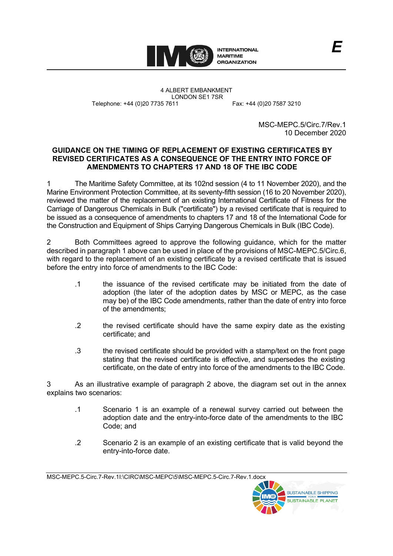

4 ALBERT EMBANKMENT LONDON SE1 7SR Telephone: +44 (0)20 7735 7611 Fax: +44 (0)20 7587 3210

MSC-MEPC.5/Circ.7/Rev.1 10 December 2020

## **GUIDANCE ON THE TIMING OF REPLACEMENT OF EXISTING CERTIFICATES BY REVISED CERTIFICATES AS A CONSEQUENCE OF THE ENTRY INTO FORCE OF AMENDMENTS TO CHAPTERS 17 AND 18 OF THE IBC CODE**

1 The Maritime Safety Committee, at its 102nd session (4 to 11 November 2020), and the Marine Environment Protection Committee, at its seventy-fifth session (16 to 20 November 2020), reviewed the matter of the replacement of an existing International Certificate of Fitness for the Carriage of Dangerous Chemicals in Bulk ("certificate") by a revised certificate that is required to be issued as a consequence of amendments to chapters 17 and 18 of the International Code for the Construction and Equipment of Ships Carrying Dangerous Chemicals in Bulk (IBC Code).

2 Both Committees agreed to approve the following guidance, which for the matter described in paragraph 1 above can be used in place of the provisions of MSC-MEPC.5/Circ.6, with regard to the replacement of an existing certificate by a revised certificate that is issued before the entry into force of amendments to the IBC Code:

- .1 the issuance of the revised certificate may be initiated from the date of adoption (the later of the adoption dates by MSC or MEPC, as the case may be) of the IBC Code amendments, rather than the date of entry into force of the amendments;
- .2 the revised certificate should have the same expiry date as the existing certificate; and
- .3 the revised certificate should be provided with a stamp/text on the front page stating that the revised certificate is effective, and supersedes the existing certificate, on the date of entry into force of the amendments to the IBC Code.

3 As an illustrative example of paragraph 2 above, the diagram set out in the annex explains two scenarios:

- .1 Scenario 1 is an example of a renewal survey carried out between the adoption date and the entry-into-force date of the amendments to the IBC Code; and
- .2 Scenario 2 is an example of an existing certificate that is valid beyond the entry-into-force date.

MSC-MEPC.5-Circ.7-Rev.1I:\CIRC\MSC-MEPC\5\MSC-MEPC.5-Circ.7-Rev.1.docx

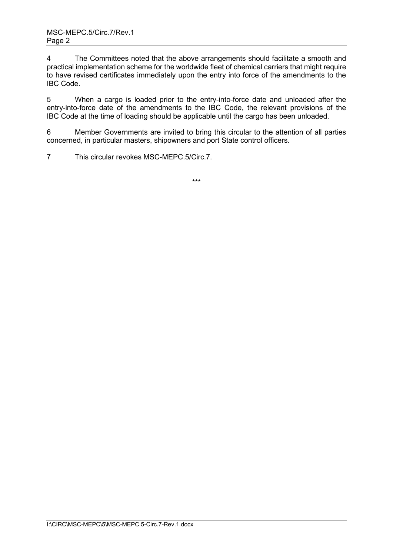4 The Committees noted that the above arrangements should facilitate a smooth and practical implementation scheme for the worldwide fleet of chemical carriers that might require to have revised certificates immediately upon the entry into force of the amendments to the IBC Code.

5 When a cargo is loaded prior to the entry-into-force date and unloaded after the entry-into-force date of the amendments to the IBC Code, the relevant provisions of the IBC Code at the time of loading should be applicable until the cargo has been unloaded.

6 Member Governments are invited to bring this circular to the attention of all parties concerned, in particular masters, shipowners and port State control officers.

7 This circular revokes MSC-MEPC.5/Circ.7.

\*\*\*